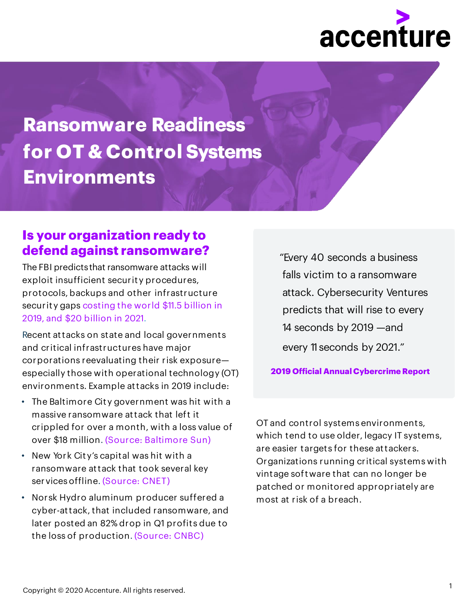

# **Ransomware Readiness for OT & Control Systems Environments**

#### **Is your organization ready to defend against ransomware?**

The FBI predictsthat ransomware attacks will exploit insufficient security procedures, protocols, backups and other infrastructure security gaps costing the world \$11.5 billion in 2019, and \$20 billion in 2021.

Recent attacks on state and local governments and critical infrastructures have major corporations reevaluating their risk exposure especially those with operational technology (OT) environments. Example attacks in 2019 include:

- The Baltimore City government was hit with a massive ransomware attack that left it crippled for over a month, with a loss value of over \$18 million. (Source: Baltimore Sun)
- New York City's capital was hit with a ransomware attack that took several key servicesoffline. (Source: CNET)
- Norsk Hydro aluminum producer suffered a cyber-attack, that included ransomware, and later posted an 82% drop in Q1 profits due to the loss of production. (Source: CNBC)

"Every 40 seconds a business falls victim to a ransomware attack. Cybersecurity Ventures predicts that will rise to every 14 seconds by 2019 —and every 11 seconds by 2021."

#### **2019 Official Annual Cybercrime Report**

OT and control systems environments, which tend to use older, legacy IT systems, are easier targets for these attackers. Organizations running critical systems with vintage software that can no longer be patched or monitored appropriately are most at risk of a breach.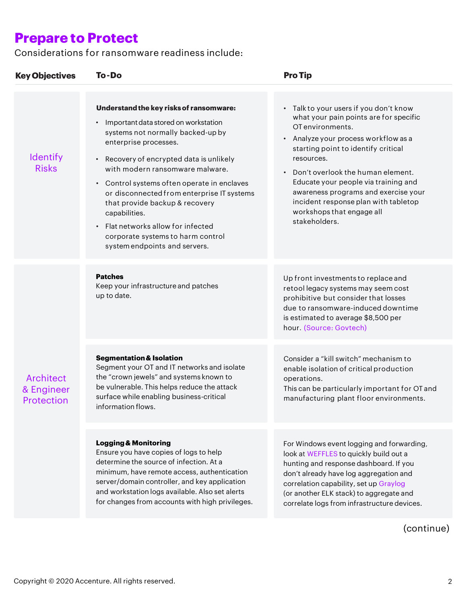## **Prepare to Protect**

Considerations for ransomware readiness include:

| <b>Key Objectives</b>                 | <b>To-Do</b>                                                                                                                                                                                                                                                                                                                                                                                                                                                                                                 | <b>Pro Tip</b>                                                                                                                                                                                                                                                                                                                                                                                             |
|---------------------------------------|--------------------------------------------------------------------------------------------------------------------------------------------------------------------------------------------------------------------------------------------------------------------------------------------------------------------------------------------------------------------------------------------------------------------------------------------------------------------------------------------------------------|------------------------------------------------------------------------------------------------------------------------------------------------------------------------------------------------------------------------------------------------------------------------------------------------------------------------------------------------------------------------------------------------------------|
| <b>Identify</b><br><b>Risks</b>       | Understand the key risks of ransomware:<br>Important data stored on workstation<br>systems not normally backed-up by<br>enterprise processes.<br>Recovery of encrypted data is unlikely<br>with modern ransomware malware.<br>Control systems often operate in enclaves<br>$\bullet$<br>or disconnected from enterprise IT systems<br>that provide backup & recovery<br>capabilities.<br>Flat networks allow for infected<br>$\bullet$<br>corporate systems to harm control<br>system endpoints and servers. | • Talk to your users if you don't know<br>what your pain points are for specific<br>OT environments.<br>Analyze your process workflow as a<br>starting point to identify critical<br>resources.<br>Don't overlook the human element.<br>Educate your people via training and<br>awareness programs and exercise your<br>incident response plan with tabletop<br>workshops that engage all<br>stakeholders. |
| Architect<br>& Engineer<br>Protection | <b>Patches</b><br>Keep your infrastructure and patches<br>up to date.                                                                                                                                                                                                                                                                                                                                                                                                                                        | Up front investments to replace and<br>retool legacy systems may seem cost<br>prohibitive but consider that losses<br>due to ransomware-induced downtime<br>is estimated to average \$8,500 per<br>hour. (Source: Govtech)                                                                                                                                                                                 |
|                                       | <b>Segmentation &amp; Isolation</b><br>Segment your OT and IT networks and isolate<br>the "crown jewels" and systems known to<br>be vulnerable. This helps reduce the attack<br>surface while enabling business-critical<br>information flows.                                                                                                                                                                                                                                                               | Consider a "kill switch" mechanism to<br>enable isolation of critical production<br>operations.<br>This can be particularly important for OT and<br>manufacturing plant floor environments.                                                                                                                                                                                                                |
|                                       | <b>Logging &amp; Monitoring</b><br>Ensure you have copies of logs to help<br>determine the source of infection. At a<br>minimum, have remote access, authentication<br>server/domain controller, and key application<br>and workstation logs available. Also set alerts<br>for changes from accounts with high privileges.                                                                                                                                                                                   | For Windows event logging and forwarding,<br>look at WEFFLES to quickly build out a<br>hunting and response dashboard. If you<br>don't already have log aggregation and<br>correlation capability, set up Graylog<br>(or another ELK stack) to aggregate and<br>correlate logs from infrastructure devices.                                                                                                |
|                                       |                                                                                                                                                                                                                                                                                                                                                                                                                                                                                                              | (continue)                                                                                                                                                                                                                                                                                                                                                                                                 |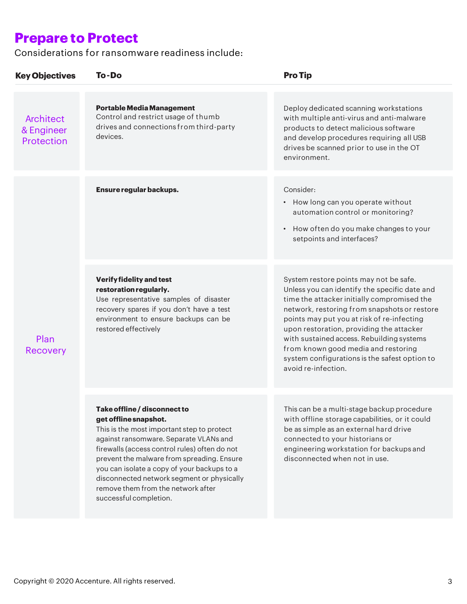## **Prepare to Protect**

Considerations for ransomware readiness include:

| <b>Key Objectives</b>                 | To-Do                                                                                                                                                                                                                                                                                                                                                                                                     | <b>Pro Tip</b>                                                                                                                                                                                                                                                                                                                                                                                                                               |
|---------------------------------------|-----------------------------------------------------------------------------------------------------------------------------------------------------------------------------------------------------------------------------------------------------------------------------------------------------------------------------------------------------------------------------------------------------------|----------------------------------------------------------------------------------------------------------------------------------------------------------------------------------------------------------------------------------------------------------------------------------------------------------------------------------------------------------------------------------------------------------------------------------------------|
| Architect<br>& Engineer<br>Protection | <b>Portable Media Management</b><br>Control and restrict usage of thumb<br>drives and connections from third-party<br>devices.                                                                                                                                                                                                                                                                            | Deploy dedicated scanning workstations<br>with multiple anti-virus and anti-malware<br>products to detect malicious software<br>and develop procedures requiring all USB<br>drives be scanned prior to use in the OT<br>environment.                                                                                                                                                                                                         |
| Plan<br>Recovery                      | Ensure regular backups.                                                                                                                                                                                                                                                                                                                                                                                   | Consider:<br>• How long can you operate without<br>automation control or monitoring?<br>• How often do you make changes to your<br>setpoints and interfaces?                                                                                                                                                                                                                                                                                 |
|                                       | <b>Verify fidelity and test</b><br>restoration regularly.<br>Use representative samples of disaster<br>recovery spares if you don't have a test<br>environment to ensure backups can be<br>restored effectively                                                                                                                                                                                           | System restore points may not be safe.<br>Unless you can identify the specific date and<br>time the attacker initially compromised the<br>network, restoring from snapshots or restore<br>points may put you at risk of re-infecting<br>upon restoration, providing the attacker<br>with sustained access. Rebuilding systems<br>from known good media and restoring<br>system configurations is the safest option to<br>avoid re-infection. |
|                                       | Take offline / disconnect to<br>get offline snapshot.<br>This is the most important step to protect<br>against ransomware. Separate VLANs and<br>firewalls (access control rules) often do not<br>prevent the malware from spreading. Ensure<br>you can isolate a copy of your backups to a<br>disconnected network segment or physically<br>remove them from the network after<br>successful completion. | This can be a multi-stage backup procedure<br>with offline storage capabilities, or it could<br>be as simple as an external hard drive<br>connected to your historians or<br>engineering workstation for backups and<br>disconnected when not in use.                                                                                                                                                                                        |